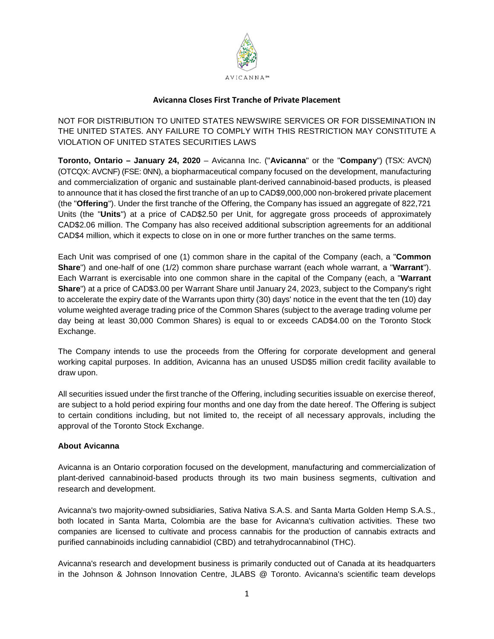

## **Avicanna Closes First Tranche of Private Placement**

NOT FOR DISTRIBUTION TO UNITED STATES NEWSWIRE SERVICES OR FOR DISSEMINATION IN THE UNITED STATES. ANY FAILURE TO COMPLY WITH THIS RESTRICTION MAY CONSTITUTE A VIOLATION OF UNITED STATES SECURITIES LAWS

**Toronto, Ontario – January 24, 2020** – Avicanna Inc. ("**Avicanna**" or the "**Company**") (TSX: AVCN) (OTCQX: AVCNF) (FSE: 0NN), a biopharmaceutical company focused on the development, manufacturing and commercialization of organic and sustainable plant-derived cannabinoid-based products, is pleased to announce that it has closed the first tranche of an up to CAD\$9,000,000 non-brokered private placement (the "**Offering**"). Under the first tranche of the Offering, the Company has issued an aggregate of 822,721 Units (the "**Units**") at a price of CAD\$2.50 per Unit, for aggregate gross proceeds of approximately CAD\$2.06 million. The Company has also received additional subscription agreements for an additional CAD\$4 million, which it expects to close on in one or more further tranches on the same terms.

Each Unit was comprised of one (1) common share in the capital of the Company (each, a "**Common Share**") and one-half of one (1/2) common share purchase warrant (each whole warrant, a "**Warrant**"). Each Warrant is exercisable into one common share in the capital of the Company (each, a "**Warrant Share**") at a price of CAD\$3.00 per Warrant Share until January 24, 2023, subject to the Company's right to accelerate the expiry date of the Warrants upon thirty (30) days' notice in the event that the ten (10) day volume weighted average trading price of the Common Shares (subject to the average trading volume per day being at least 30,000 Common Shares) is equal to or exceeds CAD\$4.00 on the Toronto Stock Exchange.

The Company intends to use the proceeds from the Offering for corporate development and general working capital purposes. In addition, Avicanna has an unused USD\$5 million credit facility available to draw upon.

All securities issued under the first tranche of the Offering, including securities issuable on exercise thereof, are subject to a hold period expiring four months and one day from the date hereof. The Offering is subject to certain conditions including, but not limited to, the receipt of all necessary approvals, including the approval of the Toronto Stock Exchange.

## **About Avicanna**

Avicanna is an Ontario corporation focused on the development, manufacturing and commercialization of plant-derived cannabinoid-based products through its two main business segments, cultivation and research and development.

Avicanna's two majority-owned subsidiaries, Sativa Nativa S.A.S. and Santa Marta Golden Hemp S.A.S., both located in Santa Marta, Colombia are the base for Avicanna's cultivation activities. These two companies are licensed to cultivate and process cannabis for the production of cannabis extracts and purified cannabinoids including cannabidiol (CBD) and tetrahydrocannabinol (THC).

Avicanna's research and development business is primarily conducted out of Canada at its headquarters in the Johnson & Johnson Innovation Centre, JLABS @ Toronto. Avicanna's scientific team develops